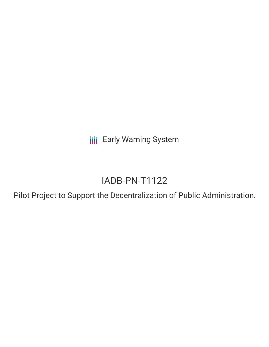**III** Early Warning System

# IADB-PN-T1122

Pilot Project to Support the Decentralization of Public Administration.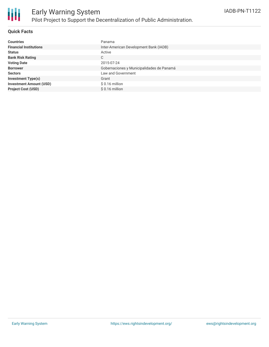

### **Quick Facts**

| <b>Countries</b>               | Panama                                    |
|--------------------------------|-------------------------------------------|
| <b>Financial Institutions</b>  | Inter-American Development Bank (IADB)    |
| <b>Status</b>                  | Active                                    |
| <b>Bank Risk Rating</b>        | C                                         |
| <b>Voting Date</b>             | 2015-07-24                                |
| <b>Borrower</b>                | Gobernaciones y Municipalidades de Panamá |
| <b>Sectors</b>                 | Law and Government                        |
| <b>Investment Type(s)</b>      | Grant                                     |
| <b>Investment Amount (USD)</b> | $$0.16$ million                           |
| <b>Project Cost (USD)</b>      | $$0.16$ million                           |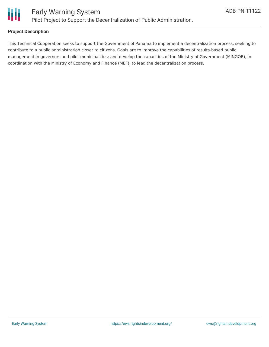

## **Project Description**

This Technical Cooperation seeks to support the Government of Panama to implement a decentralization process, seeking to contribute to a public administration closer to citizens. Goals are to improve the capabilities of results-based public management in governors and pilot municipalities; and develop the capacities of the Ministry of Government (MINGOB), in coordination with the Ministry of Economy and Finance (MEF), to lead the decentralization process.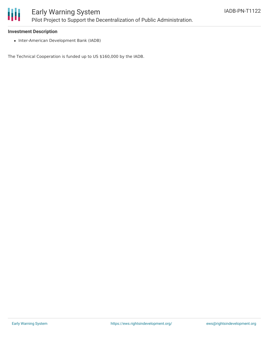

#### **Investment Description**

• Inter-American Development Bank (IADB)

The Technical Cooperation is funded up to US \$160,000 by the IADB.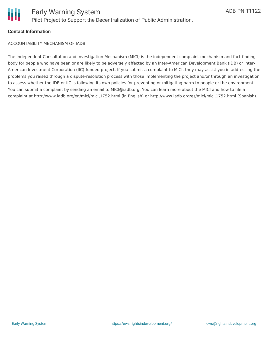

#### **Contact Information**

ACCOUNTABILITY MECHANISM OF IADB

The Independent Consultation and Investigation Mechanism (MICI) is the independent complaint mechanism and fact-finding body for people who have been or are likely to be adversely affected by an Inter-American Development Bank (IDB) or Inter-American Investment Corporation (IIC)-funded project. If you submit a complaint to MICI, they may assist you in addressing the problems you raised through a dispute-resolution process with those implementing the project and/or through an investigation to assess whether the IDB or IIC is following its own policies for preventing or mitigating harm to people or the environment. You can submit a complaint by sending an email to MICI@iadb.org. You can learn more about the MICI and how to file a complaint at http://www.iadb.org/en/mici/mici,1752.html (in English) or http://www.iadb.org/es/mici/mici,1752.html (Spanish).